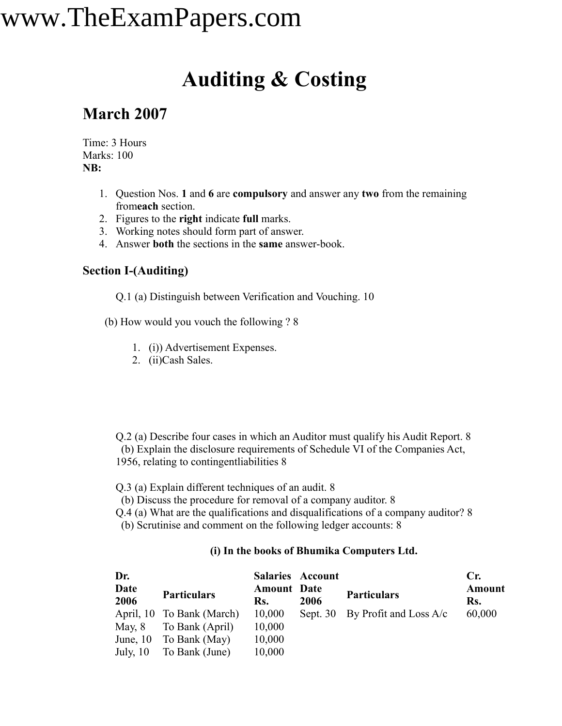### **Auditing & Costing**

### **March 2007**

Time: 3 Hours Marks: 100 **NB:**

- 1. Question Nos. **1** and **6** are **compulsory** and answer any **two** from the remaining from**each** section.
- 2. Figures to the **right** indicate **full** marks.
- 3. Working notes should form part of answer.
- 4. Answer **both** the sections in the **same** answer-book.

#### **Section I-(Auditing)**

Q.1 (a) Distinguish between Verification and Vouching. 10

(b) How would you vouch the following ? 8

- 1. (i)) Advertisement Expenses.
- 2. (ii)Cash Sales.

Q.2 (a) Describe four cases in which an Auditor must qualify his Audit Report. 8 (b) Explain the disclosure requirements of Schedule VI of the Companies Act, 1956, relating to contingentliabilities 8

Q.3 (a) Explain different techniques of an audit. 8

(b) Discuss the procedure for removal of a company auditor. 8

Q.4 (a) What are the qualifications and disqualifications of a company auditor? 8

(b) Scrutinise and comment on the following ledger accounts: 8

#### **(i) In the books of Bhumika Computers Ltd.**

| Dr.          |                           |                           | <b>Salaries Account</b> |                                   | $C_{r}$       |
|--------------|---------------------------|---------------------------|-------------------------|-----------------------------------|---------------|
| Date<br>2006 | <b>Particulars</b>        | <b>Amount</b> Date<br>Rs. | 2006                    | <b>Particulars</b>                | Amount<br>Rs. |
|              | April, 10 To Bank (March) | 10,000                    |                         | Sept. 30 By Profit and Loss $A/c$ | 60,000        |
| May, 8       | To Bank (April)           | 10,000                    |                         |                                   |               |
| June, $10$   | To Bank (May)             | 10,000                    |                         |                                   |               |
| July, $10$   | To Bank (June)            | 10,000                    |                         |                                   |               |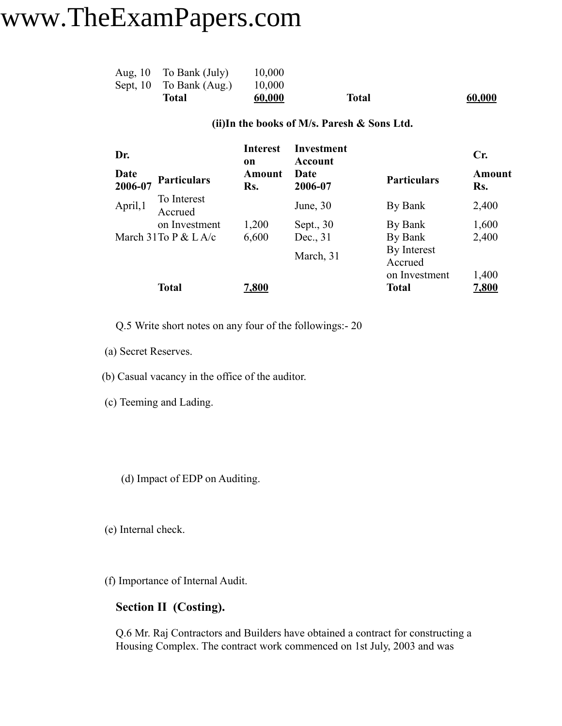| Total                    | 60,000 | <b>Total</b> | 60,000 |
|--------------------------|--------|--------------|--------|
| Sept, 10 To Bank (Aug.)  | 10,000 |              |        |
| Aug, $10$ To Bank (July) | 10,000 |              |        |

#### **(ii)In the books of M/s. Paresh & Sons Ltd.**

| Dr.             |                        | <b>Interest</b><br>on | <b>Investment</b><br>Account |                        | Cr.           |
|-----------------|------------------------|-----------------------|------------------------------|------------------------|---------------|
| Date<br>2006-07 | <b>Particulars</b>     | Amount<br>Rs.         | Date<br>2006-07              | <b>Particulars</b>     | Amount<br>Rs. |
| April,1         | To Interest<br>Accrued |                       | June, $30$                   | By Bank                | 2,400         |
|                 | on Investment          | 1,200                 | Sept., 30                    | By Bank                | 1,600         |
|                 | March 31To P $&$ L A/c | 6,600                 | Dec., 31                     | By Bank                | 2,400         |
|                 |                        |                       | March, 31                    | By Interest<br>Accrued |               |
|                 |                        |                       |                              | on Investment          | 1,400         |
|                 | <b>Total</b>           | 7,800                 |                              | Total                  | 7,800         |

Q.5 Write short notes on any four of the followings:- 20

(a) Secret Reserves.

(b) Casual vacancy in the office of the auditor.

- (c) Teeming and Lading.
	- (d) Impact of EDP on Auditing.

(e) Internal check.

(f) Importance of Internal Audit.

#### **Section II (Costing).**

Q.6 Mr. Raj Contractors and Builders have obtained a contract for constructing a Housing Complex. The contract work commenced on 1st July, 2003 and was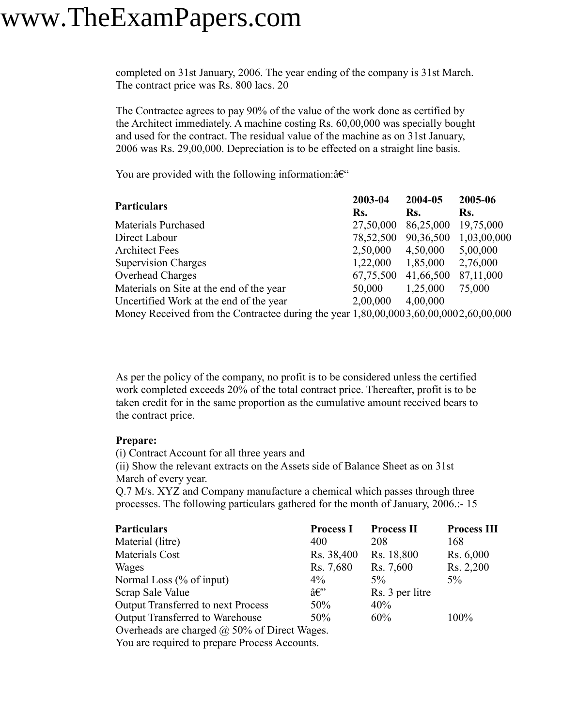completed on 31st January, 2006. The year ending of the company is 31st March. The contract price was Rs. 800 lacs. 20

The Contractee agrees to pay 90% of the value of the work done as certified by the Architect immediately. A machine costing Rs. 60,00,000 was specially bought and used for the contract. The residual value of the machine as on 31st January, 2006 was Rs. 29,00,000. Depreciation is to be effected on a straight line basis.

You are provided with the following information: $\hat{a}\hat{\epsilon}$ "

| <b>Particulars</b>                                                                     | 2003-04   |           | 2005-06     |  |
|----------------------------------------------------------------------------------------|-----------|-----------|-------------|--|
|                                                                                        | Rs.       | Rs.       | Rs.         |  |
| <b>Materials Purchased</b>                                                             | 27,50,000 | 86,25,000 | 19,75,000   |  |
| Direct Labour                                                                          | 78,52,500 | 90,36,500 | 1,03,00,000 |  |
| <b>Architect Fees</b>                                                                  | 2,50,000  | 4,50,000  | 5,00,000    |  |
| <b>Supervision Charges</b>                                                             | 1,22,000  | 1,85,000  | 2,76,000    |  |
| Overhead Charges                                                                       | 67,75,500 | 41,66,500 | 87,11,000   |  |
| Materials on Site at the end of the year                                               | 50,000    | 1,25,000  | 75,000      |  |
| Uncertified Work at the end of the year                                                | 2,00,000  | 4,00,000  |             |  |
| Money Received from the Contractee during the year $1,80,00,0003,60,00,0002,60,00,000$ |           |           |             |  |

As per the policy of the company, no profit is to be considered unless the certified work completed exceeds 20% of the total contract price. Thereafter, profit is to be taken credit for in the same proportion as the cumulative amount received bears to the contract price.

#### **Prepare:**

(i) Contract Account for all three years and

(ii) Show the relevant extracts on the Assets side of Balance Sheet as on 31st March of every year.

Q.7 M/s. XYZ and Company manufacture a chemical which passes through three processes. The following particulars gathered for the month of January, 2006.:- 15

| <b>Particulars</b>                                  | <b>Process I</b>      | <b>Process II</b> | <b>Process III</b> |
|-----------------------------------------------------|-----------------------|-------------------|--------------------|
| Material (litre)                                    | 400                   | 208               | 168                |
| Materials Cost                                      | Rs. 38,400            | Rs. 18,800        | Rs. 6,000          |
| Wages                                               | Rs. 7,680             | Rs. 7,600         | Rs. 2,200          |
| Normal Loss $(\%$ of input)                         | $4\%$                 | $5\%$             | $5\%$              |
| Scrap Sale Value                                    | $\hat{a} \in \hat{C}$ | Rs. 3 per litre   |                    |
| <b>Output Transferred to next Process</b>           | 50%                   | 40%               |                    |
| Output Transferred to Warehouse                     | $50\%$                | 60%               | $100\%$            |
| Overheads are charged $\omega$ 50% of Direct Wages. |                       |                   |                    |
| Vou are required to prepare Process Accounts        |                       |                   |                    |

You are required to prepare Process Accounts.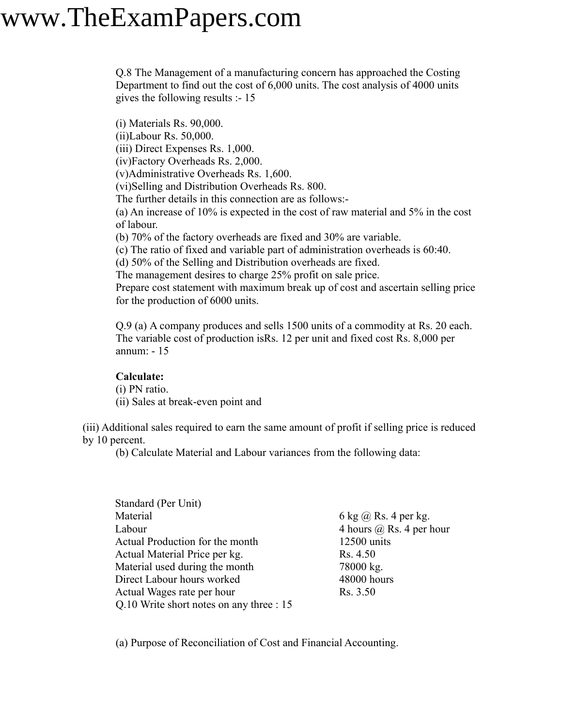Q.8 The Management of a manufacturing concern has approached the Costing Department to find out the cost of 6,000 units. The cost analysis of 4000 units gives the following results :- 15

(i) Materials Rs. 90,000. (ii)Labour Rs. 50,000. (iii) Direct Expenses Rs. 1,000. (iv)Factory Overheads Rs. 2,000. (v)Administrative Overheads Rs. 1,600. (vi)Selling and Distribution Overheads Rs. 800. The further details in this connection are as follows:- (a) An increase of 10% is expected in the cost of raw material and 5% in the cost of labour. (b) 70% of the factory overheads are fixed and 30% are variable. (c) The ratio of fixed and variable part of administration overheads is 60:40. (d) 50% of the Selling and Distribution overheads are fixed. The management desires to charge 25% profit on sale price. Prepare cost statement with maximum break up of cost and ascertain selling price for the production of 6000 units.

Q.9 (a) A company produces and sells 1500 units of a commodity at Rs. 20 each. The variable cost of production isRs. 12 per unit and fixed cost Rs. 8,000 per annum: - 15

#### **Calculate:**

(i) PN ratio.

(ii) Sales at break-even point and

(iii) Additional sales required to earn the same amount of profit if selling price is reduced by 10 percent.

(b) Calculate Material and Labour variances from the following data:

| Standard (Per Unit)                      |                              |
|------------------------------------------|------------------------------|
| Material                                 | 6 kg $\omega$ Rs. 4 per kg.  |
| Labour                                   | 4 hours $(a)$ Rs. 4 per hour |
| Actual Production for the month          | 12500 units                  |
| Actual Material Price per kg.            | Rs. 4.50                     |
| Material used during the month           | 78000 kg.                    |
| Direct Labour hours worked               | 48000 hours                  |
| Actual Wages rate per hour               | Rs. 3.50                     |
| Q.10 Write short notes on any three : 15 |                              |

(a) Purpose of Reconciliation of Cost and Financial Accounting.